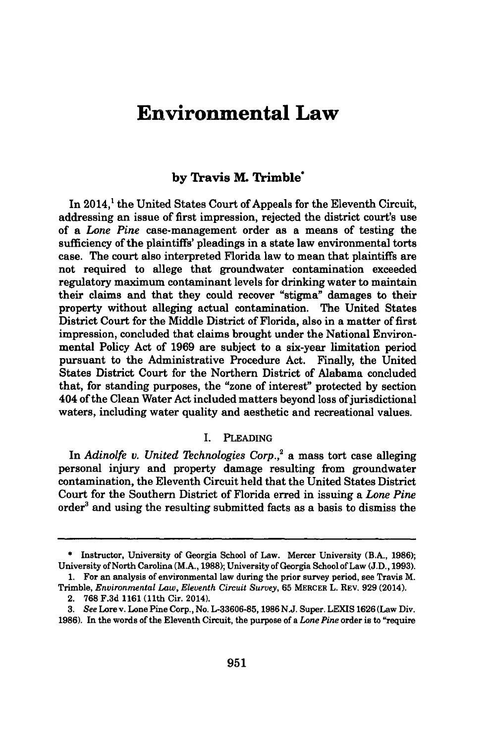# **Environmental Law**

## **by Travis M. Trimble\***

In 2014,<sup>1</sup> the United States Court of Appeals for the Eleventh Circuit, addressing an issue of first impression, rejected the district court's use of a *Lone Pine* case-management order as a means of testing the sufficiency of the plaintiffs' pleadings in a state law environmental torts case. The court also interpreted Florida law to mean that plaintiffs are not required to allege that groundwater contamination exceeded regulatory maximum contaminant levels for drinking water to maintain their claims and that they could recover "stigma" damages to their property without alleging actual contamination. The United States District Court for the Middle District of Florida, also in a matter of first impression, concluded that claims brought under the National Environmental Policy Act of **1969** are subject to a six-year limitation period pursuant to the Administrative Procedure Act. Finally, the United States District Court for the Northern District of Alabama concluded that, for standing purposes, the "zone of interest" protected **by** section 404 of the Clean Water Act included matters beyond loss of jurisdictional waters, including water quality and aesthetic and recreational values.

#### I. PLEADING

In *Adinolfe v. United Technologies Corp.,2* a mass tort case alleging personal injury and property damage resulting from groundwater contamination, the Eleventh Circuit held that the United States District Court for the Southern District of Florida erred in issuing a *Lone Pine* order<sup>3</sup> and using the resulting submitted facts as a basis to dismiss the

**<sup>\*</sup>** Instructor, University of Georgia School of Law. Mercer University (B.A., 1986); University of North Carolina (M.A., 1988); University of Georgia School of Law (J.D., 1993). 1. For an analysis of environmental law during the prior survey period, see Travis M.

Trimble, *Environmental Law, Eleventh Circuit Survey,* **65 MERCER** L. **REV. 929** (2014). 2. **768 F.3d** 1161 (11th Cir. 2014).

**<sup>3.</sup>** *See* Lore v. Lone Pine Corp., No. **L-33606-85, 1986** N.J. Super. **LEXIS 1626** (Law Div. **1986).** In the words of the Eleventh Circuit, the purpose of a *Lone Pine* order is to "require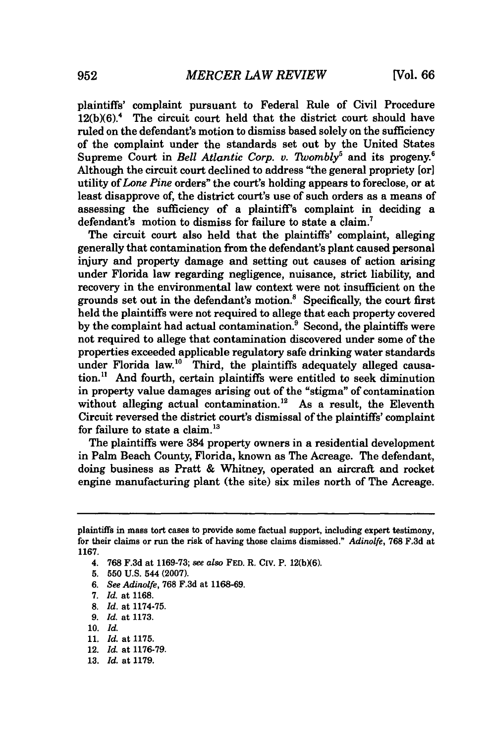plaintiffs' complaint pursuant to Federal Rule of Civil Procedure  $12(b)(6)$ .<sup>4</sup> The circuit court held that the district court should have ruled on the defendant's motion to dismiss based solely on the sufficiency of the complaint under the standards set out **by** the United States Supreme Court in *Bell Atlantic Corp. v. Twombly<sup>5</sup>* and its progeny.<sup>6</sup> Although the circuit court declined to address "the general propriety [or] utility of *Lone Pine* orders" the court's holding appears to foreclose, or at least disapprove of, the district court's use of such orders as a means of assessing the sufficiency of a plaintiff's complaint in deciding a defendant's motion to dismiss for failure to state a claim.<sup>7</sup>

The circuit court also held that the plaintiffs' complaint, alleging generally that contamination from the defendant's plant caused personal injury and property damage and setting out causes of action arising under Florida law regarding negligence, nuisance, strict liability, and recovery in the environmental law context were not insufficient on the grounds set out in the defendant's motion.8 Specifically, the court first held the plaintiffs were not required to allege that each property covered by the complaint had actual contamination.<sup>9</sup> Second, the plaintiffs were not required to allege that contamination discovered under some of the properties exceeded applicable regulatory safe drinking water standards under Florida law.<sup>10</sup> Third, the plaintiffs adequately alleged causation." And fourth, certain plaintiffs were entitled to seek diminution in property value damages arising out of the "stigma" of contamination without alleging actual contamination.<sup>12</sup> As a result, the Eleventh Circuit reversed the district court's dismissal of the plaintiffs' complaint for failure to state a claim. $^{13}$ 

The plaintiffs were 384 property owners in a residential development in Palm Beach County, Florida, known as The Acreage. The defendant, doing business as Pratt **&** Whitney, operated an aircraft and rocket engine manufacturing plant (the site) six miles north of The Acreage.

- **9.** *Id.* at **1173.**
- **10.** *Id.*

plaintiffs in mass tort cases to provide some factual support, including expert testimony, for their claims or run the risk of having those claims dismissed." *Adinolfe,* **768 F.3d** at **1167.**

<sup>4.</sup> **768 F.3d** at **1169-73;** *see also* **FED.** R. Civ. P. **12(bX6).**

**<sup>5. 550</sup> U.S.** 544 **(2007).**

**<sup>6.</sup>** *See Adinolfe,* **768 F.3d** at **1168-69.**

**<sup>7.</sup>** *Id.* at **1168.**

**<sup>8.</sup>** *Id.* at **1174-75.**

**<sup>11.</sup>** *Id.* at **1175.**

<sup>12.</sup> *Id.* at **1176-79.**

**<sup>13.</sup> Id.** at **1179.**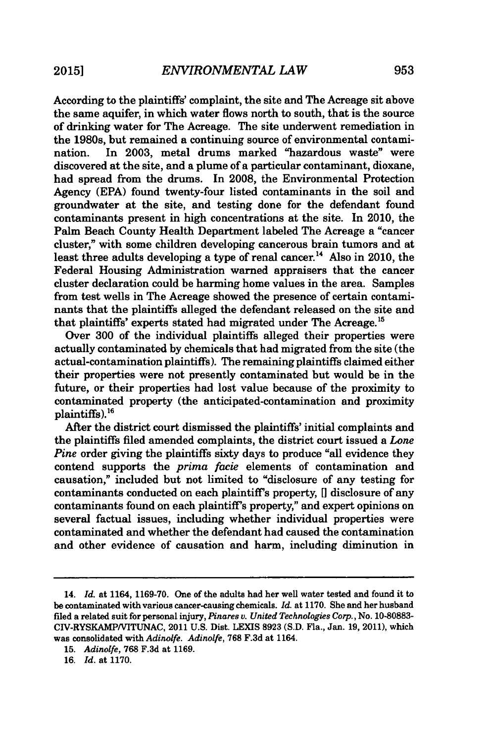According to the plaintiffs' complaint, the site and The Acreage sit above the same aquifer, in which water flows north to south, that is the source of drinking water for The Acreage. The site underwent remediation in the 1980s, but remained a continuing source of environmental contamination. In 2003, metal drums marked "hazardous waste" were discovered at the site, and a plume of a particular contaminant, dioxane, had spread from the drums. In 2008, the Environmental Protection Agency (EPA) found twenty-four listed contaminants in the soil and groundwater at the site, and testing done for the defendant found contaminants present in high concentrations at the site. In 2010, the Palm Beach County Health Department labeled The Acreage a "cancer cluster," with some children developing cancerous brain tumors and at least three adults developing a type of renal cancer.<sup>14</sup> Also in 2010, the Federal Housing Administration warned appraisers that the cancer cluster declaration could be harming home values in the area. Samples from test wells in The Acreage showed the presence of certain contaminants that the plaintiffs alleged the defendant released on the site and that plaintiffs' experts stated had migrated under The Acreage.<sup>15</sup>

Over 300 of the individual plaintiffs alleged their properties were actually contaminated by chemicals that had migrated from the site (the actual-contamination plaintiffs). The remaining plaintiffs claimed either their properties were not presently contaminated but would be in the future, or their properties had lost value because of the proximity to contaminated property (the anticipated-contamination and proximity  $plain tiffs)$ .<sup>16</sup>

After the district court dismissed the plaintiffs' initial complaints and the plaintiffs filed amended complaints, the district court issued a *Lone Pine* order giving the plaintiffs sixty days to produce "all evidence they contend supports the *prima facie* elements of contamination and causation," included but not limited to "disclosure of any testing for contaminants conducted on each plaintiffs property, **[I** disclosure of any contaminants found on each plaintiff's property," and expert opinions on several factual issues, including whether individual properties were contaminated and whether the defendant had caused the contamination and other evidence of causation and harm, including diminution in

<sup>14.</sup> *Id.* at 1164, **1169-70.** One of the adults had her well water tested and found it to be contaminated with various cancer-causing chemicals. *Id.* at **1170.** She and her husband filed a related suit for personal injury, *Pinares v. United Technologies Corp.,* No. **10-80883-** CIV-RYSKAMP/VITUNAC, 2011 **U.S.** Dist. **LEXIS 8923 (S.D.** Fla., Jan. **19, 2011),** which was consolidated with *Adinolfe. Adinolfe,* **768 F.3d** at 1164.

**<sup>15.</sup>** *Adinolfe,* **768 F.3d** at **1169.**

**<sup>16.</sup>** *Id.* at **1170.**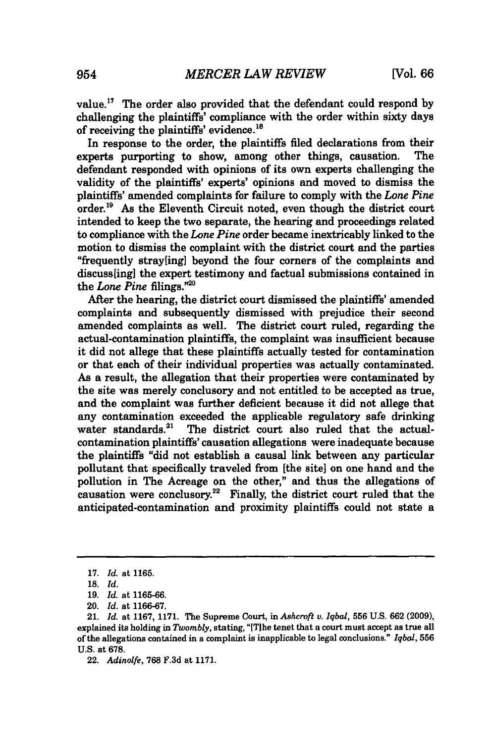value.17 The order also provided that the defendant could respond **by** challenging the plaintiffs' compliance with the order within sixty days of receiving the plaintiffs' evidence.<sup>18</sup>

In response to the order, the plaintiffs filed declarations from their experts purporting to show, among other things, causation. The defendant responded with opinions of its own experts challenging the validity of the plaintiffs' experts' opinions and moved to dismiss the plaintiffs' amended complaints for failure to comply with the *Lone Pine* order.<sup>19</sup> As the Eleventh Circuit noted, even though the district court intended to keep the two separate, the hearing and proceedings related to compliance with the *Lone Pine* order became inextricably linked to the motion to dismiss the complaint with the district court and the parties "frequently stray[ing] beyond the four corners of the complaints and discuss[ing] the expert testimony and factual submissions contained in the *Lone Pine* filings."<sup>21</sup>

After the hearing, the district court dismissed the plaintiffs' amended complaints and subsequently dismissed with prejudice their second amended complaints as well. The district court ruled, regarding the actual-contamination plaintiffs, the complaint was insufficient because it did not allege that these plaintiffs actually tested for contamination or that each of their individual properties was actually contaminated. As a result, the allegation that their properties were contaminated **by** the site was merely conclusory and not entitled to be accepted as true, and the complaint was further deficient because it did not allege that any contamination exceeded the applicable regulatory safe drinking water standards.<sup>21</sup> The district court also ruled that the actualcontamination plaintiffs' causation allegations were inadequate because the plaintiffs "did not establish a causal link between any particular pollutant that specifically traveled from [the site] on one hand and the pollution in The Acreage on the other," and thus the allegations of causation were conclusory.<sup>22</sup> Finally, the district court ruled that the anticipated-contamination and proximity plaintiffs could not state a

**<sup>17.</sup>** *Id.* at **1165.**

**<sup>18.</sup>** *Id.*

<sup>19.</sup> *Id.* at 1165-66.

<sup>20.</sup> *Id.* at 1166-67.

<sup>21.</sup> *Id.* at 1167, 1171. The Supreme Court, *inAshcroft v. Iqbal,* **556** U.S. 662 (2009), explained its holding in *Twombly,* stating, "[TIhe tenet that a court must accept as true all of the allegations contained in a complaint is inapplicable to legal conclusions." *Iqbal,* **556** U.S. at **678.**

<sup>22.</sup> *Adinolfe,* 768 F.3d at 1171.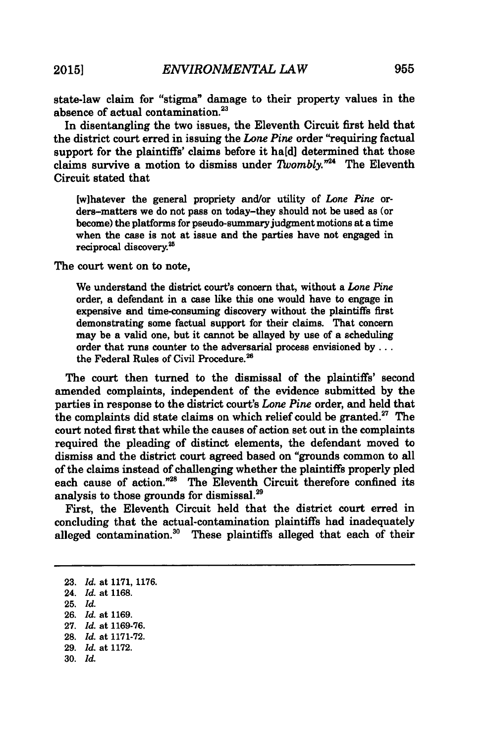state-law claim for "stigma" damage to their property values in the absence of actual contamination.<sup>23</sup>

In disentangling the two issues, the Eleventh Circuit first held that the district court erred in issuing the *Lone Pine* order "requiring factual support for the plaintiffs' claims before it **ha[d]** determined that those claims survive a motion to dismiss under *Twombly.*<sup>724</sup> The Eleventh Circuit stated that

[w]hatever the general propriety and/or utility of *Lone Pine* orders-matters we do not pass on today-they should not be used as (or become) the platforms for pseudo-summary judgment motions at a time when the case is not at issue and the parties have not engaged in reciprocal discovery.<sup>25</sup>

The court went on to note,

We understand the district court's concern that, without a *Lone Pine* order, a defendant in a case like this one would have to engage in expensive and time-consuming discovery without the plaintiffs first demonstrating some factual support for their claims. That concern may be a valid one, but it cannot be allayed **by** use of a scheduling order that runs counter to the adversarial process envisioned **by...** the Federal Rules of Civil Procedure.<sup>26</sup>

The court then turned to the dismissal of the plaintiffs' second amended complaints, independent of the evidence submitted **by** the parties in response to the district court's *Lone Pine* order, and held that the complaints did state claims on which relief could be granted. $27$  The court noted first that while the causes of action set out in the complaints required the pleading of distinct elements, the defendant moved to dismiss and the district court agreed based on "grounds common to all of the claims instead of challenging whether the plaintiffs properly pled each cause of action."<sup>28</sup> The Eleventh Circuit therefore confined its analysis to those grounds for dismissal.29

First, the Eleventh Circuit held that the district court erred in concluding that the actual-contamination plaintiffs had inadequately alleged contamination.<sup>30</sup> These plaintiffs alleged that each of their

**26.** *Id.* at **1169.**

**30.** *Id.*

**<sup>23.</sup>** *Id.* at **1171, 1176.**

<sup>24.</sup> *Id.* at **1168.**

**<sup>25.</sup>** *Id.*

**<sup>27.</sup>** *Id.* at **1169-76.**

**<sup>28.</sup>** *Id.* at **1171-72.**

**<sup>29.</sup>** *Id.* at **1172.**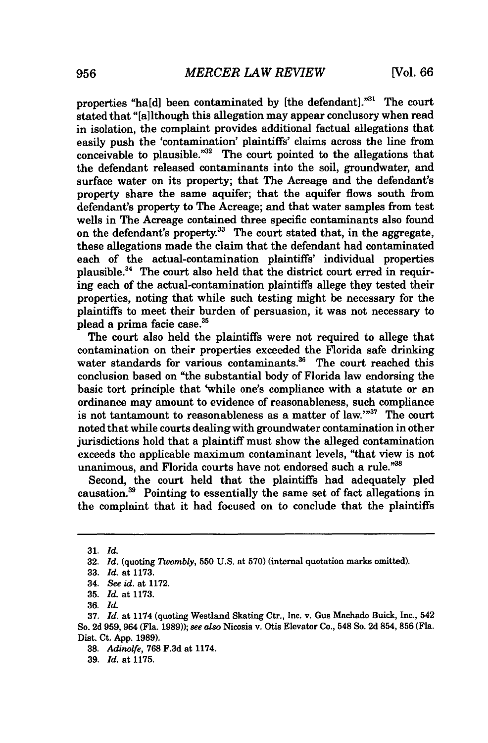properties "ha[d] been contaminated by [the defendant]."31 The court stated that "[a]lthough this allegation may appear conclusory when read in isolation, the complaint provides additional factual allegations that easily push the 'contamination' plaintiffs' claims across the line from conceivable to plausible. $m^{32}$  The court pointed to the allegations that the defendant released contaminants into the soil, groundwater, and surface water on its property; that The Acreage and the defendant's property share the same aquifer; that the aquifer flows south from defendant's property to The Acreage; and that water samples from test wells in The Acreage contained three specific contaminants also found on the defendant's property.<sup>33</sup> The court stated that, in the aggregate, these allegations made the claim that the defendant had contaminated each of the actual-contamination plaintiffs' individual properties plausible.34 The court also held that the district court erred in requiring each of the actual-contamination plaintiffs allege they tested their properties, noting that while such testing might be necessary for the plaintiffs to meet their burden of persuasion, it was not necessary to plead a prima facie case.<sup>35</sup>

The court also held the plaintiffs were not required to allege that contamination on their properties exceeded the Florida safe drinking water standards for various contaminants.<sup>36</sup> The court reached this conclusion based on "the substantial body of Florida law endorsing the basic tort principle that 'while one's compliance with a statute or an ordinance may amount to evidence of reasonableness, such compliance is not tantamount to reasonableness as a matter of law."37 The court noted that while courts dealing with groundwater contamination in other jurisdictions hold that a plaintiff must show the alleged contamination exceeds the applicable maximum contaminant levels, "that view is not unanimous, and Florida courts have not endorsed such a rule."38

Second, the court held that the plaintiffs had adequately pled causation.39 Pointing to essentially the same set of fact allegations in the complaint that it had focused on to conclude that the plaintiffs

**<sup>31.</sup>** *Id.*

**<sup>32.</sup>** *Id.* (quoting *Twombly,* **550 U.S.** at **570)** (internal quotation marks omitted).

**<sup>33.</sup>** *Id.* at **1173.**

<sup>34.</sup> *See id.* at **1172.**

**<sup>35.</sup>** *Id.* at **1173.**

**<sup>36.</sup>** *Id.*

**<sup>37.</sup>** *Id.* at 1174 (quoting Westland Skating Ctr., Inc. v. Gus Machado Buick, Inc., 542 **So. 2d 959,** 964 (Fla. **1989));** *see also* Nicosia v. Otis Elevator Co., 548 So. **2d** 854, **856 (Fla.** Dist. Ct. **App. 1989).**

**<sup>38.</sup>** *Adinolfe,* **768 F.3d** at 1174.

**<sup>39.</sup>** *Id.* at **1175.**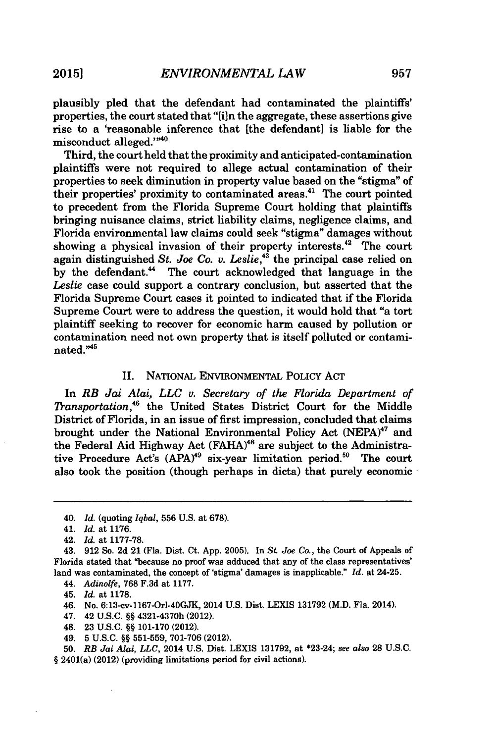plausibly pled that the defendant had contaminated the plaintiffs' properties, the court stated that "[i]n the aggregate, these assertions give rise to a 'reasonable inference that [the defendant] is liable for the misconduct alleged."<sup>40</sup>

Third, the court held that the proximity and anticipated-contamination plaintiffs were not required to allege actual contamination of their properties to seek diminution in property value based on the "stigma" of their properties' proximity to contaminated areas.<sup>41</sup> The court pointed to precedent from the Florida Supreme Court holding that plaintiffs bringing nuisance claims, strict liability claims, negligence claims, and Florida environmental law claims could seek "stigma" damages without showing a physical invasion of their property interests.<sup>42</sup> The court again distinguished *St. Joe Co. v. Leslie,"3* the principal case relied on by the defendant." The court acknowledged that language in the *Leslie* case could support a contrary conclusion, but asserted that the Florida Supreme Court cases it pointed to indicated that if the Florida Supreme Court were to address the question, it would hold that "a tort plaintiff seeking to recover for economic harm caused by pollution or contamination need not own property that is itself polluted or contami- ${\rm nated.}^{\rm m45}$ 

### II. NATIONAL ENVIRONMENTAL POLICY **ACT**

In *RB Jai Alai, LLC v. Secretary of the Florida Department of Transportation,"* the United States District Court for the Middle District of Florida, in an issue of first impression, concluded that claims brought under the National Environmental Policy Act (NEPA)<sup>47</sup> and the Federal Aid Highway Act (FAHA)<sup>48</sup> are subject to the Administrative Procedure Act's  $(APA)^{49}$  six-year limitation period.<sup>50</sup> The court also took the position (though perhaps in dicta) that purely economic

- 46. No. 6:13-cv-1167-Orl-40GJK, 2014 **U.S.** Dist. **LEXIS 131792** (M.D. Fla. 2014).
- 47. 42 **U.S.C.** §§ 4321-4370h (2012).
- 48. **23 U.S.C.** §§ **101-170** (2012).
- 49. **5 U.S.C.** §§ **551-559, 701-706** (2012).
- **50.** *RB Jai Alai, LLC,* 2014 **U.S.** Dist. LEXIS **131792,** at \*23-24; *see also* **28 U.S.C.** § 2401(a) (2012) (providing limitations period for civil actions).

<sup>40.</sup> *Id.* (quoting *Iqbal,* **556 U.S.** at **678).**

<sup>41.</sup> *Id.* at **1176.**

<sup>42.</sup> *Id.* at **1177-78.**

<sup>43.</sup> **912 So. 2d** 21 (Fla. Dist. Ct. **App. 2005).** In *St. Joe Co.,* the Court of Appeals of Florida stated that "because no proof was adduced that any of the class representatives' land was contaminated, the concept of 'stigma' damages is inapplicable." *rd.* at 24-25.

<sup>44.</sup> *Adinolfe,* **768 F.3d** at **1177.**

<sup>45.</sup> *Id.* at **1178.**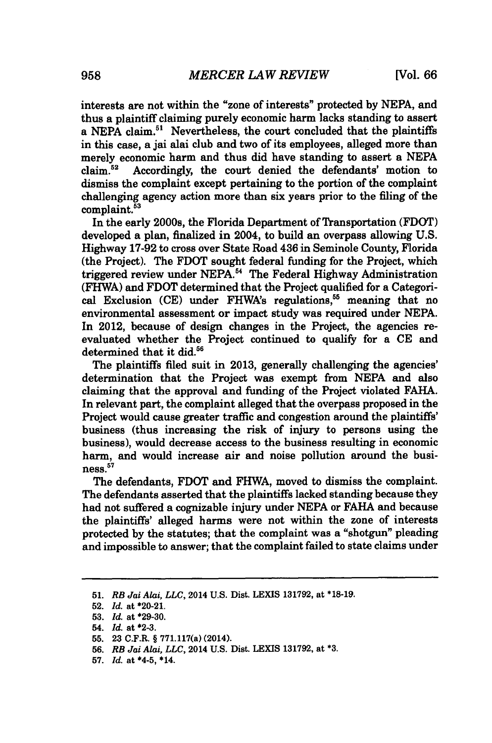interests are not within the "zone of interests" protected **by NEPA,** and thus a plaintiff claiming purely economic harm lacks standing to assert a NEPA claim.<sup>51</sup> Nevertheless, the court concluded that the plaintiffs in this case, a jai alai club and two of its employees, alleged more than merely economic harm and thus did have standing to assert a NEPA claim.<sup>52</sup> Accordingly, the court denied the defendants' motion to Accordingly, the court denied the defendants' motion to dismiss the complaint except pertaining to the portion of the complaint challenging agency action more than six years prior to the filing of the  $complaint.<sup>53</sup>$ 

In the early 2000s, the Florida Department of Transportation (FDOT) developed a plan, finalized in 2004, to build an overpass allowing **U.S.** Highway **17-92** to cross over State Road 436 in Seminole County, Florida (the Project). The FDOT sought federal funding for the Project, which triggered review under **NEPA.<sup>5</sup> "** The Federal Highway Administration (FHWA) and FDOT determined that the Project qualified for a Categorical Exclusion **(CE)** under FHWA's regulations.<sup>55</sup> meaning that no environmental assessment or impact study was required under **NEPA.** In 2012, because of design changes in the Project, the agencies reevaluated whether the Project continued to **qualify** for a **CE** and determined that it did.<sup>56</sup>

The plaintiffs filed suit in **2013,** generally challenging the agencies' determination that the Project was exempt from **NEPA** and also claiming that the approval and funding of the Project violated **FAHA.** In relevant part, the complaint alleged that the overpass proposed in the Project would cause greater traffic and congestion around the plaintiffs' business (thus increasing the risk of injury to persons using the business), would decrease access to the business resulting in economic harm, and would increase air and noise pollution around the business.<sup>57</sup>

The defendants, FDOT and FHWA, moved to dismiss the complaint. The defendants asserted that the plaintiffs lacked standing because they had not suffered a cognizable injury under **NEPA** or **FAHA** and because the plaintiffs' alleged harms were not within the zone of interests protected **by** the statutes; that the complaint was a "shotgun" pleading and impossible to answer; that the complaint failed to state claims under

**<sup>51.</sup>** *RB Jai Alai, LLC,* 2014 **U.S.** Dist. **LEXIS 131792,** at **\*18-19.**

**<sup>52.</sup>** *Id.* at \*20-21.

**<sup>53.</sup>** *Id.* at **\*29-30.**

<sup>54.</sup> *Id.* at **\*2-3.**

**<sup>55. 23</sup>** C.F.R. **§** 771.117(a) (2014).

**<sup>56.</sup>** *RB Jai Alai, LLC,* 2014 **U.S.** Dist. **LEXIS 131792,** at **\*3.**

**<sup>57.</sup>** *Id.* at \*4-5, \*14.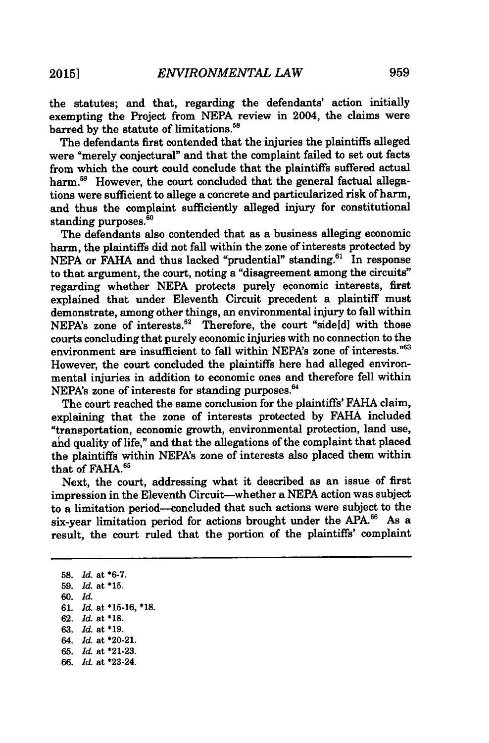the statutes; and that, regarding the defendants' action initially exempting the Project from **NEPA** review in 2004, the claims were barred by the statute of limitations.<sup>58</sup>

The defendants first contended that the injuries the plaintiffs alleged were "merely conjectural" and that the complaint failed to set out facts from which the court could conclude that the plaintiffs suffered actual harm.<sup>59</sup> However, the court concluded that the general factual allegations were sufficient to allege a concrete and particularized risk of harm, and thus the complaint sufficiently alleged injury for constitutional standing purposes.<sup>50</sup>

The defendants also contended that as a business alleging economic harm, the plaintiffs did not fall within the zone of interests protected by NEPA or FAHA and thus lacked "prudential" standing.<sup>61</sup> In response to that argument, the court, noting a "disagreement among the circuits" regarding whether NEPA protects purely economic interests, first explained that under Eleventh Circuit precedent a plaintiff must demonstrate, among other things, an environmental injury to fall within NEPA's zone of interests.<sup>62</sup> Therefore, the court "side[d] with those courts concluding that purely economic injuries with no connection to the environment are insufficient to fall within NEPA's zone of interests."<sup>63</sup> However, the court concluded the plaintiffs here had alleged environmental injuries in addition to economic ones and therefore fell within NEPA's zone of interests for standing purposes.<sup>64</sup>

The court reached the same conclusion for the plaintiffs' FAHA claim, explaining that the zone of interests protected by FAHA included "transportation, economic growth, environmental protection, land use, and quality of life," and that the allegations of the complaint that placed the plaintiffs within NEPA's zone of interests also placed them within that of FAHA.<sup>65</sup>

Next, the court, addressing what it described as an issue of first impression in the Eleventh Circuit-whether a NEPA action was subject to a limitation period--concluded that such actions were subject to the six-year limitation period for actions brought under the APA.<sup>66</sup> As a result, the court ruled that the portion of the plaintiffs' complaint

58. *Id.* at **\*6-7.** 59. *Id.* at **\*15. 60.** *Id.* 61. *Id.* at **\*15-16,** \*18. 62. *Id.* at **\*18.** 63. *Id.* at **\*19.** 64. *ld.* at \*20-21. 65. *Id.* at \*21-23. 66. *ld.* at \*23-24.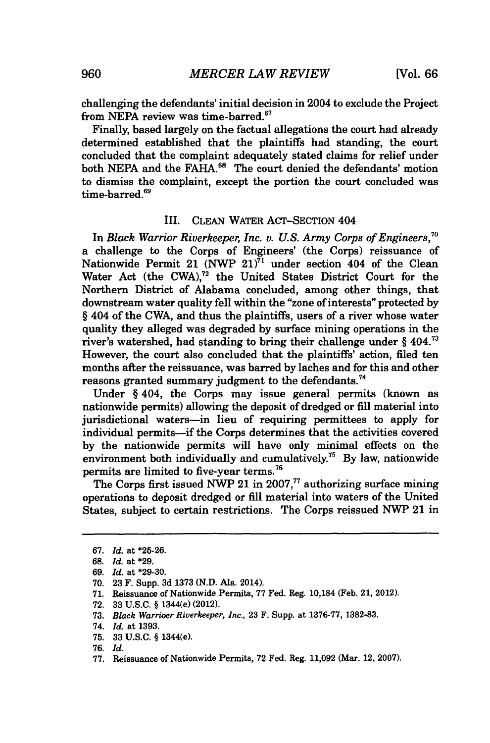challenging the defendants' initial decision in 2004 to exclude the Project from NEPA review was time-barred.<sup>67</sup>

Finally, based largely on the factual allegations the court had already determined established that the plaintiffs had standing, the court concluded that the complaint adequately stated claims for relief under both NEPA and the FAHA.<sup>68</sup> The court denied the defendants' motion to dismiss the complaint, except the portion the court concluded was time-barred.<sup>69</sup>

#### III. CLEAN WATER ACT-SECTION 404

In *Black Warrior Riverkeeper, Inc. v. U.S. Army Corps of Engineers,7 "* a challenge to the Corps of Engineers' (the Corps) reissuance of Nationwide Permit 21 (NWP  $21$ )<sup>71</sup> under section 404 of the Clean Water Act (the CWA),<sup>72</sup> the United States District Court for the Northern District of Alabama concluded, among other things, that downstream water quality fell within the "zone of interests" protected by § 404 of the CWA, and thus the plaintiffs, users of a river whose water quality they alleged was degraded by surface mining operations in the river's watershed, had standing to bring their challenge under  $\S$  404.<sup>73</sup> However, the court also concluded that the plaintiffs' action, filed ten months after the reissuance, was barred by laches and for this and other reasons granted summary judgment to the defendants.<sup>74</sup>

Under § 404, the Corps may issue general permits (known as nationwide permits) allowing the deposit of dredged or fill material into jurisdictional waters-in lieu of requiring permittees to apply for individual permits—if the Corps determines that the activities covered by the nationwide permits will have only minimal effects on the environment both individually and cumulatively.75 By law, nationwide permits are limited to five-year terms.76

The Corps first issued NWP 21 in 2007, $^{77}$  authorizing surface mining operations to deposit dredged or fill material into waters of the United States, subject to certain restrictions. The Corps reissued NWP 21 in

- **70.** 23 F. Supp. 3d 1373 (N.D. Ala. 2014).
- **71.** Reissuance of Nationwide Permits, **77** Fed. Reg. 10,184 (Feb. 21, 2012).
- 72. 33 U.S.C. § 1344(e) (2012).
- 73. *Black Warrioer Riverkeeper, Inc.,* 23 F. Supp. at 1376-77, 1382-83.

**75.** 33 U.S.C. § 1344(e).

77. Reissuance of Nationwide Permits, 72 Fed. Reg. 11,092 (Mar. 12, 2007).

<sup>67.</sup> *Id.* at \*25-26.

<sup>68.</sup> *Id.* at \*29.

<sup>69.</sup> *Id.* at \*29-30.

<sup>74.</sup> *Id.* at 1393.

<sup>76.</sup> *Id.*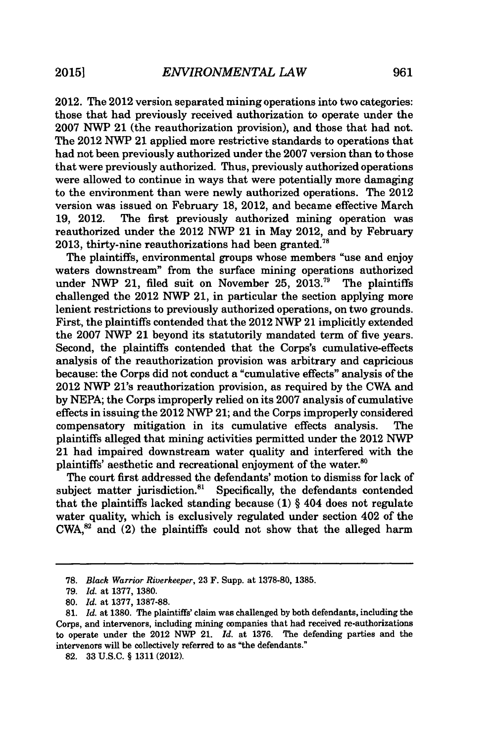2012. The 2012 version separated mining operations into two categories: those that had previously received authorization to operate under the 2007 NWP 21 (the reauthorization provision), and those that had not. The 2012 NWP 21 applied more restrictive standards to operations that had not been previously authorized under the 2007 version than to those that were previously authorized. Thus, previously authorized operations were allowed to continue in ways that were potentially more damaging to the environment than were newly authorized operations. The 2012 version was issued on February 18, 2012, and became effective March<br>19, 2012. The first previously authorized mining operation was The first previously authorized mining operation was reauthorized under the 2012 NWP 21 in May 2012, and by February 2013, thirty-nine reauthorizations had been granted.<sup>78</sup>

The plaintiffs, environmental groups whose members "use and enjoy waters downstream" from the surface mining operations authorized under NWP 21, filed suit on November  $25.2013.^{79}$  The plaintiffs challenged the 2012 NWP 21, in particular the section applying more lenient restrictions to previously authorized operations, on two grounds. First, the plaintiffs contended that the 2012 NWP 21 implicitly extended the 2007 NWP 21 beyond its statutorily mandated term of five years. Second, the plaintiffs contended that the Corps's cumulative-effects analysis of the reauthorization provision was arbitrary and capricious because: the Corps did not conduct a "cumulative effects" analysis of the 2012 NWP 21's reauthorization provision, as required by the CWA and by NEPA; the Corps improperly relied on its 2007 analysis of cumulative effects in issuing the 2012 NWP 21; and the Corps improperly considered compensatory mitigation in its cumulative effects analysis. The plaintiffs alleged that mining activities permitted under the 2012 NWP 21 had impaired downstream water quality and interfered with the plaintiffs' aesthetic and recreational enjoyment of the water.<sup>80</sup>

The court first addressed the defendants' motion to dismiss for lack of subject matter jurisdiction.<sup>81</sup> Specifically, the defendants contended that the plaintiffs lacked standing because (1) § 404 does not regulate water quality, which is exclusively regulated under section 402 of the  $CWA<sup>82</sup>$  and (2) the plaintiffs could not show that the alleged harm

<sup>78.</sup> *Black Warrior Riverkeeper,* 23 F. Supp. at 1378-80, 1385.

<sup>79.</sup> *Id.* at 1377, 1380.

**<sup>80.</sup>** *Id.* at 1377, 1387-88.

<sup>81.</sup> *Id.* at 1380. The plaintiffs' claim was challenged by both defendants, including the Corps, and intervenors, including mining companies that had received re-authorizations to operate under the 2012 NWP 21. *Id.* at 1376. The defending parties and the intervenors will be collectively referred to as "the defendants."

**<sup>82.</sup>** 33 U.S.C. § 1311 (2012).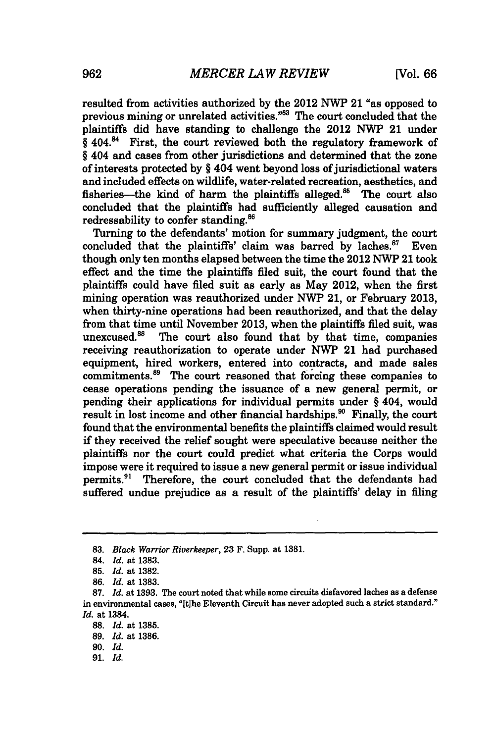resulted from activities authorized by the 2012 NWP 21 "as opposed to previous mining or unrelated activities. $^{983}$  The court concluded that the plaintiffs did have standing to challenge the 2012 NWP 21 under  $§$  404.<sup>84</sup> First, the court reviewed both the regulatory framework of § 404 and cases from other jurisdictions and determined that the zone of interests protected by § 404 went beyond loss of jurisdictional waters and included effects on wildlife, water-related recreation, aesthetics, and fisheries—the kind of harm the plaintiffs alleged. $85$  The court also concluded that the plaintiffs had sufficiently alleged causation and redressability to confer standing.<sup>86</sup>

Turning to the defendants' motion for summary judgment, the court concluded that the plaintiffs' claim was barred by laches.<sup>87</sup> Even though only ten months elapsed between the time the 2012 NWP 21 took effect and the time the plaintiffs filed suit, the court found that the plaintiffs could have filed suit as early as May 2012, when the first mining operation was reauthorized under NWP 21, or February 2013, when thirty-nine operations had been reauthorized, and that the delay from that time until November 2013, when the plaintiffs filed suit, was unexcused.<sup>88</sup> The court also found that by that time. companies The court also found that by that time, companies receiving reauthorization to operate under NWP 21 had purchased equipment, hired workers, entered into contracts, and made sales commitments.<sup>89</sup> The court reasoned that forcing these companies to cease operations pending the issuance of a new general permit, or pending their applications for individual permits under § 404, would result in lost income and other financial hardships.<sup>90</sup> Finally, the court found that the environmental benefits the plaintiffs claimed would result if they received the relief sought were speculative because neither the plaintiffs nor the court could predict what criteria the Corps would impose were it required to issue a new general permit or issue individual permits.<sup>91</sup> Therefore, the court concluded that the defendants had suffered undue prejudice as a result of the plaintiffs' delay in filing

91. *Id.*

<sup>83.</sup> *Black Warrior Riverkeeper,* 23 F. Supp. at 1381.

<sup>84.</sup> *Id.* at 1383.

<sup>85.</sup> *Id.* at 1382.

<sup>86.</sup> *Id.* at 1383.

**<sup>87.</sup>** *Id.* at **1393.** The court noted that while some circuits disfavored laches as a defense in environmental cases, "Ithe Eleventh Circuit has never adopted such a strict standard." *Id.* at 1384.

**<sup>88.</sup>** *Id.* at **1385.**

**<sup>89.</sup>** *Id.* at **1386.**

<sup>90.</sup> Id.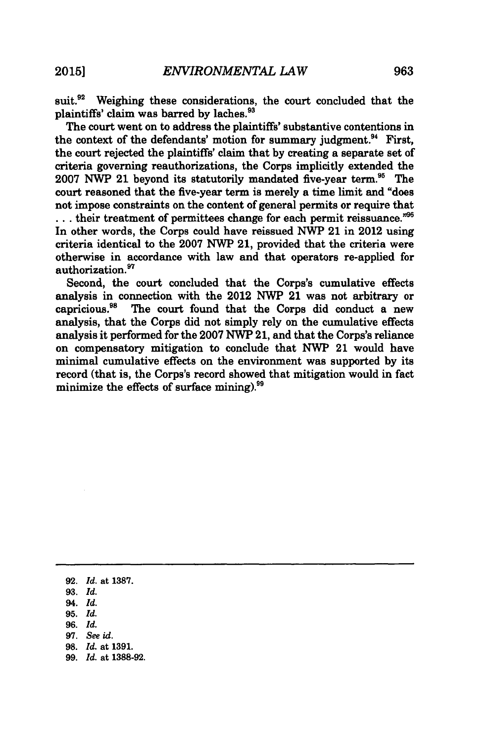suit.<sup>92</sup> Weighing these considerations, the court concluded that the plaintiffs' claim was barred **by** laches.93

The court went on to address the plaintiffs' substantive contentions in the context of the defendants' motion for summary judgment.<sup>94</sup> First, the court rejected the plaintiffs' claim that **by** creating a separate set of criteria governing reauthorizations, the Corps implicitly extended the **2007 NWP** 21 beyond its statutorily mandated five-year term.95 The court reasoned that the five-year term is merely a time limit and "does not impose constraints on the content of general permits or require that **..** their treatment of permittees change for each permit reissuance."<sup>96</sup> In other words, the Corps could have reissued NWP 21 in 2012 using criteria identical to the **2007 NWP** 21, provided that the criteria were otherwise in accordance with law and that operators re-applied for authorization.<sup>97</sup>

Second, the court concluded that the Corps's cumulative effects analysis in connection with the 2012 **NWP** 21 was not arbitrary or The court found that the Corps did conduct a new analysis, that the Corps did not simply rely on the cumulative effects analysis it performed for the **2007** NVP **21,** and that the Corps's reliance on compensatory mitigation to conclude that NWP 21 would have minimal cumulative effects on the environment was supported **by** its record (that is, the Corps's record showed that mitigation would in fact minimize the effects of surface mining).<sup>99</sup>

- **95.** *Id.*
- 96. *Id.*
- 97. See id.
- 98. *Id.* at 1391.
- 99. *Id.* at 1388-92.

**<sup>92.</sup>** *Id.* at **1387.**

**<sup>93.</sup>** *Id.*

<sup>94.</sup> *Id.*